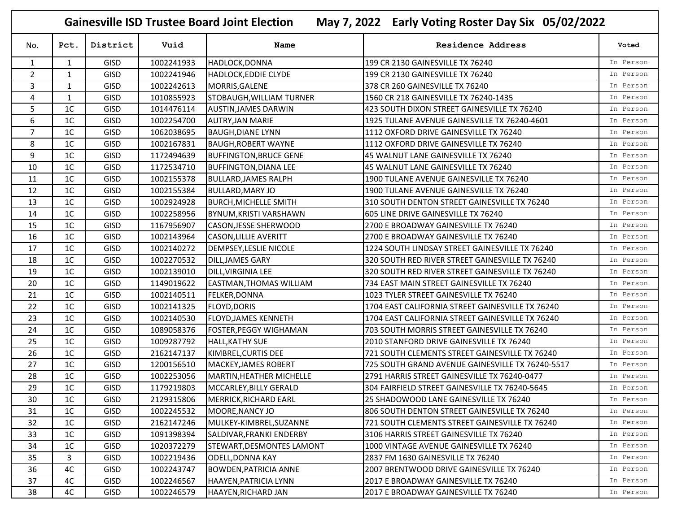**Gainesville ISD Trustee Board Joint Election May 7, 2022 Early Voting Roster Day Six 05/02/2022**

| No.            | Pct.           | District    | Vuid       | Name                           | Residence Address                                | Voted     |
|----------------|----------------|-------------|------------|--------------------------------|--------------------------------------------------|-----------|
| $\mathbf{1}$   | $\mathbf{1}$   | <b>GISD</b> | 1002241933 | HADLOCK, DONNA                 | 199 CR 2130 GAINESVILLE TX 76240                 | In Person |
| $\overline{2}$ | $\mathbf{1}$   | <b>GISD</b> | 1002241946 | <b>HADLOCK, EDDIE CLYDE</b>    | 199 CR 2130 GAINESVILLE TX 76240                 | In Person |
| 3              | $\mathbf{1}$   | <b>GISD</b> | 1002242613 | MORRIS, GALENE                 | 378 CR 260 GAINESVILLE TX 76240                  | In Person |
| 4              | 1              | <b>GISD</b> | 1010855923 | STOBAUGH, WILLIAM TURNER       | 1560 CR 218 GAINESVILLE TX 76240-1435            | In Person |
| 5              | 1 <sup>C</sup> | <b>GISD</b> | 1014476114 | <b>AUSTIN, JAMES DARWIN</b>    | 423 SOUTH DIXON STREET GAINESVILLE TX 76240      | In Person |
| 6              | 1 <sup>C</sup> | <b>GISD</b> | 1002254700 | <b>AUTRY, JAN MARIE</b>        | 1925 TULANE AVENUE GAINESVILLE TX 76240-4601     | In Person |
| $\overline{7}$ | 1 <sup>C</sup> | <b>GISD</b> | 1062038695 | <b>BAUGH, DIANE LYNN</b>       | 1112 OXFORD DRIVE GAINESVILLE TX 76240           | In Person |
| 8              | 1C             | <b>GISD</b> | 1002167831 | <b>BAUGH, ROBERT WAYNE</b>     | 1112 OXFORD DRIVE GAINESVILLE TX 76240           | In Person |
| 9              | 1 <sup>C</sup> | <b>GISD</b> | 1172494639 | <b>BUFFINGTON, BRUCE GENE</b>  | 45 WALNUT LANE GAINESVILLE TX 76240              | In Person |
| 10             | 1C             | <b>GISD</b> | 1172534710 | <b>BUFFINGTON, DIANA LEE</b>   | 45 WALNUT LANE GAINESVILLE TX 76240              | In Person |
| 11             | 1C             | <b>GISD</b> | 1002155378 | <b>BULLARD, JAMES RALPH</b>    | 1900 TULANE AVENUE GAINESVILLE TX 76240          | In Person |
| 12             | 1C             | <b>GISD</b> | 1002155384 | <b>BULLARD, MARY JO</b>        | 1900 TULANE AVENUE GAINESVILLE TX 76240          | In Person |
| 13             | 1 <sup>C</sup> | <b>GISD</b> | 1002924928 | <b>BURCH, MICHELLE SMITH</b>   | 310 SOUTH DENTON STREET GAINESVILLE TX 76240     | In Person |
| 14             | 1 <sup>C</sup> | <b>GISD</b> | 1002258956 | BYNUM, KRISTI VARSHAWN         | 605 LINE DRIVE GAINESVILLE TX 76240              | In Person |
| 15             | 1 <sup>C</sup> | <b>GISD</b> | 1167956907 | <b>CASON, JESSE SHERWOOD</b>   | 2700 E BROADWAY GAINESVILLE TX 76240             | In Person |
| 16             | 1 <sup>C</sup> | <b>GISD</b> | 1002143964 | <b>CASON, LILLIE AVERITT</b>   | 2700 E BROADWAY GAINESVILLE TX 76240             | In Person |
| 17             | 1 <sup>C</sup> | <b>GISD</b> | 1002140272 | <b>DEMPSEY, LESLIE NICOLE</b>  | 1224 SOUTH LINDSAY STREET GAINESVILLE TX 76240   | In Person |
| 18             | 1C             | <b>GISD</b> | 1002270532 | DILL, JAMES GARY               | 320 SOUTH RED RIVER STREET GAINESVILLE TX 76240  | In Person |
| 19             | 1C             | <b>GISD</b> | 1002139010 | DILL, VIRGINIA LEE             | 320 SOUTH RED RIVER STREET GAINESVILLE TX 76240  | In Person |
| 20             | 1 <sup>C</sup> | <b>GISD</b> | 1149019622 | <b>EASTMAN, THOMAS WILLIAM</b> | 734 EAST MAIN STREET GAINESVILLE TX 76240        | In Person |
| 21             | 1 <sup>C</sup> | <b>GISD</b> | 1002140511 | <b>FELKER, DONNA</b>           | 1023 TYLER STREET GAINESVILLE TX 76240           | In Person |
| 22             | 1 <sup>C</sup> | <b>GISD</b> | 1002141325 | <b>FLOYD, DORIS</b>            | 1704 EAST CALIFORNIA STREET GAINESVILLE TX 76240 | In Person |
| 23             | 1 <sup>C</sup> | GISD        | 1002140530 | <b>FLOYD, JAMES KENNETH</b>    | 1704 EAST CALIFORNIA STREET GAINESVILLE TX 76240 | In Person |
| 24             | 1 <sup>C</sup> | <b>GISD</b> | 1089058376 | <b>FOSTER, PEGGY WIGHAMAN</b>  | 703 SOUTH MORRIS STREET GAINESVILLE TX 76240     | In Person |
| 25             | 1C             | <b>GISD</b> | 1009287792 | <b>HALL, KATHY SUE</b>         | 2010 STANFORD DRIVE GAINESVILLE TX 76240         | In Person |
| 26             | 1C             | <b>GISD</b> | 2162147137 | KIMBREL, CURTIS DEE            | 721 SOUTH CLEMENTS STREET GAINESVILLE TX 76240   | In Person |
| 27             | 1 <sup>C</sup> | <b>GISD</b> | 1200156510 | <b>MACKEY, JAMES ROBERT</b>    | 725 SOUTH GRAND AVENUE GAINESVILLE TX 76240-5517 | In Person |
| 28             | 1C             | GISD        | 1002253056 | MARTIN, HEATHER MICHELLE       | 2791 HARRIS STREET GAINESVILLE TX 76240-0477     | In Person |
| 29             | 1 <sup>C</sup> | <b>GISD</b> | 1179219803 | MCCARLEY, BILLY GERALD         | 304 FAIRFIELD STREET GAINESVILLE TX 76240-5645   | In Person |
| 30             | 1 <sup>C</sup> | GISD        | 2129315806 | MERRICK, RICHARD EARL          | 25 SHADOWOOD LANE GAINESVILLE TX 76240           | In Person |
| 31             | 1C             | <b>GISD</b> | 1002245532 | MOORE, NANCY JO                | 1806 SOUTH DENTON STREET GAINESVILLE TX 76240    | In Person |
| 32             | 1 <sup>C</sup> | <b>GISD</b> | 2162147246 | MULKEY-KIMBREL, SUZANNE        | 721 SOUTH CLEMENTS STREET GAINESVILLE TX 76240   | In Person |
| 33             | 1C             | <b>GISD</b> | 1091398394 | SALDIVAR, FRANKI ENDERBY       | 3106 HARRIS STREET GAINESVILLE TX 76240          | In Person |
| 34             | 1 <sup>C</sup> | <b>GISD</b> | 1020372279 | STEWART, DESMONTES LAMONT      | 1000 VINTAGE AVENUE GAINESVILLE TX 76240         | In Person |
| 35             | 3              | <b>GISD</b> | 1002219436 | <b>ODELL, DONNA KAY</b>        | 2837 FM 1630 GAINESVILLE TX 76240                | In Person |
| 36             | 4C             | <b>GISD</b> | 1002243747 | <b>BOWDEN, PATRICIA ANNE</b>   | 2007 BRENTWOOD DRIVE GAINESVILLE TX 76240        | In Person |
| 37             | 4C             | <b>GISD</b> | 1002246567 | HAAYEN, PATRICIA LYNN          | 2017 E BROADWAY GAINESVILLE TX 76240             | In Person |
| 38             | 4C             | <b>GISD</b> | 1002246579 | HAAYEN, RICHARD JAN            | 2017 E BROADWAY GAINESVILLE TX 76240             | In Person |